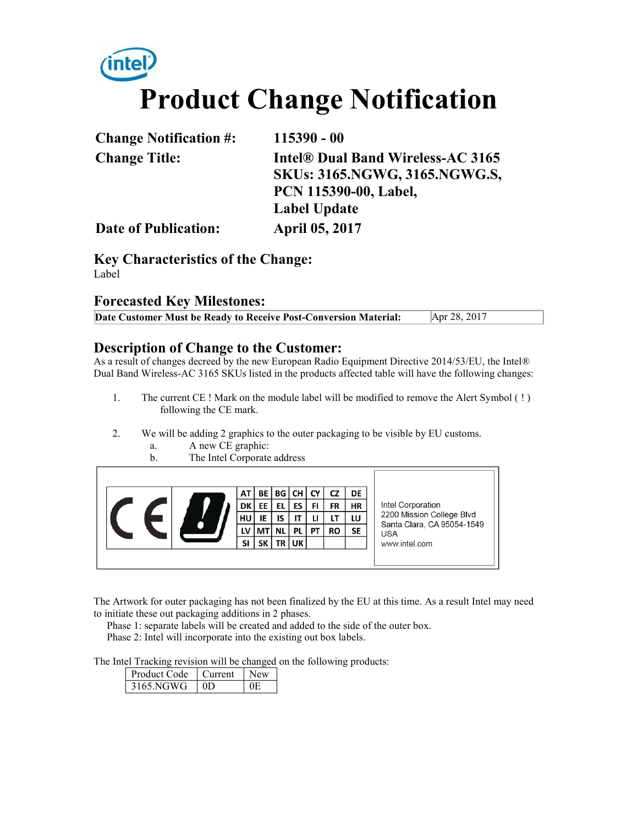# **Product Change Notification**

| <b>Change Notification #:</b> | $115390 - 00$                        |
|-------------------------------|--------------------------------------|
| <b>Change Title:</b>          | Intel® Dual Band Wireless-AC 3165    |
|                               | <b>SKUs: 3165.NGWG, 3165.NGWG.S,</b> |
|                               | PCN 115390-00, Label,                |
|                               | <b>Label Update</b>                  |
| <b>Date of Publication:</b>   | <b>April 05, 2017</b>                |

**Key Characteristics of the Change:** Label

#### **Forecasted Key Milestones:**

| Date Customer Must be Ready to Receive Post-Conversion Material: | Apr 28, 2017 |
|------------------------------------------------------------------|--------------|
|------------------------------------------------------------------|--------------|

#### **Description of Change to the Customer:**

As a result of changes decreed by the new European Radio Equipment Directive 2014/53/EU, the Intel® Dual Band Wireless-AC 3165 SKUs listed in the products affected table will have the following changes:

- 1. The current CE ! Mark on the module label will be modified to remove the Alert Symbol ( ! ) following the CE mark.
- 2. We will be adding 2 graphics to the outer packaging to be visible by EU customs.
	- a. A new CE graphic:
	- b. The Intel Corporate address



The Artwork for outer packaging has not been finalized by the EU at this time. As a result Intel may need to initiate these out packaging additions in 2 phases.

 Phase 1: separate labels will be created and added to the side of the outer box. Phase 2: Intel will incorporate into the existing out box labels.

The Intel Tracking revision will be changed on the following products:

| Product Code | l Current |  |
|--------------|-----------|--|
| 3165 NGWG    | ΩD        |  |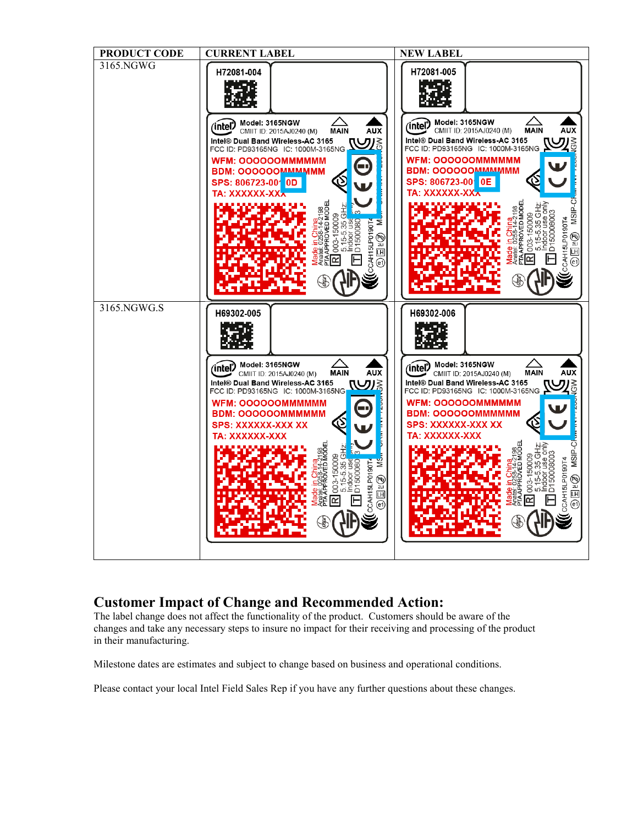

#### **Customer Impact of Change and Recommended Action:**

The label change does not affect the functionality of the product. Customers should be aware of the changes and take any necessary steps to insure no impact for their receiving and processing of the product in their manufacturing.

Milestone dates are estimates and subject to change based on business and operational conditions.

Please contact your local Intel Field Sales Rep if you have any further questions about these changes.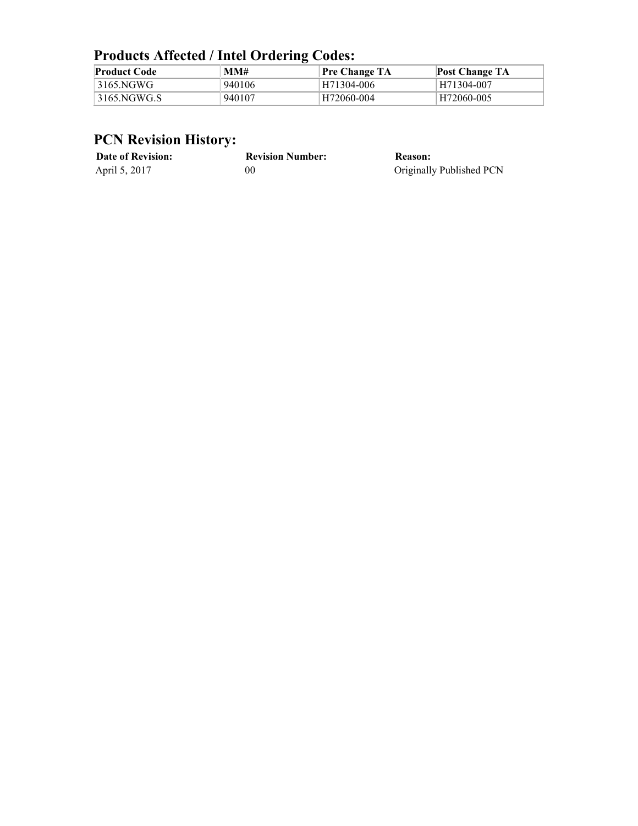### **Products Affected / Intel Ordering Codes:**

| <b>Product Code</b> | MM#    | Pre Change TA | <b>Post Change TA</b> |
|---------------------|--------|---------------|-----------------------|
| 3165.NGWG           | 940106 | H71304-006    | H71304-007            |
| 3165.NGWG.S         | 940107 | H72060-004    | H72060-005            |

## **PCN Revision History:**

| <b>Date of Revision:</b> | <b>Revision Number:</b> | Reason:                  |
|--------------------------|-------------------------|--------------------------|
| April 5, 2017            | 00                      | Originally Published PCN |